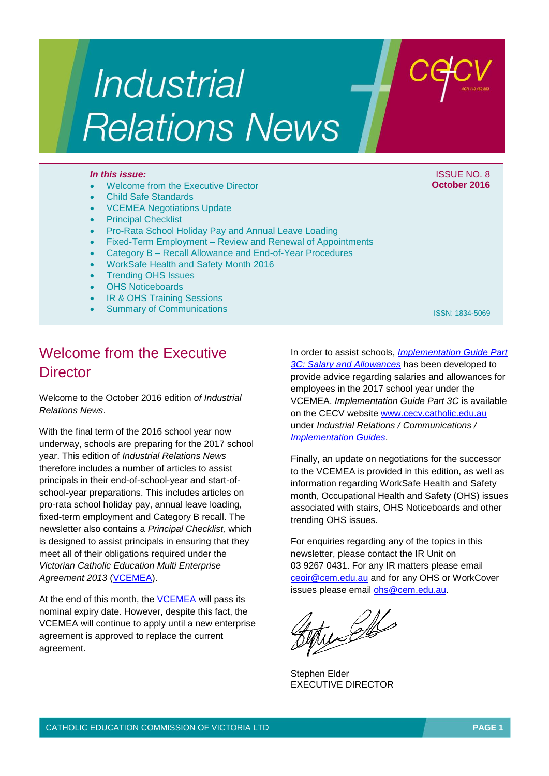# **Industrial Relations News**

- Welcome from the Executive Director
- Child Safe Standards
- VCEMEA Negotiations Update
- Principal Checklist
- Pro-Rata School Holiday Pay and Annual Leave Loading
- Fixed-Term Employment Review and Renewal of Appointments
- Category B Recall Allowance and End-of-Year Procedures
- WorkSafe Health and Safety Month 2016
- Trending OHS Issues
- OHS Noticeboards
- **IR & OHS Training Sessions**
- Summary of Communications

### Welcome from the Executive **Director**

Welcome to the October 2016 edition *of Industrial Relations News*.

With the final term of the 2016 school year now underway, schools are preparing for the 2017 school year. This edition of *Industrial Relations News* therefore includes a number of articles to assist principals in their end-of-school-year and start-ofschool-year preparations. This includes articles on pro-rata school holiday pay, annual leave loading, fixed-term employment and Category B recall. The newsletter also contains a *Principal Checklist,* which is designed to assist principals in ensuring that they meet all of their obligations required under the *Victorian Catholic Education Multi Enterprise Agreement 2013* [\(VCEMEA\)](http://www.cecv.catholic.edu.au/getmedia/e728ccbb-dac1-4822-9607-7c5cb8abdae9/VCEMEA_2013.aspx).

At the end of this month, the [VCEMEA](http://www.cecv.catholic.edu.au/getmedia/e728ccbb-dac1-4822-9607-7c5cb8abdae9/VCEMEA_2013.aspx) will pass its nominal expiry date. However, despite this fact, the VCEMEA will continue to apply until a new enterprise agreement is approved to replace the current agreement.

In order to assist schools, *[Implementation Guide Part](http://www.cecv.catholic.edu.au/getmedia/9e5b828e-4f80-4934-b3c2-a27b3c87c47b/Implementation-Guide-Part-3C.aspx)  [3C: Salary and Allowances](http://www.cecv.catholic.edu.au/getmedia/9e5b828e-4f80-4934-b3c2-a27b3c87c47b/Implementation-Guide-Part-3C.aspx)* has been developed to provide advice regarding salaries and allowances for employees in the 2017 school year under the VCEMEA. *Implementation Guide Part 3C* is available on the CECV website [www.cecv.catholic.edu.au](http://www.cecv.catholic.edu.au/) under *Industrial Relations / Communications / [Implementation Guides](http://www.cecv.catholic.edu.au/Industrial-Relations/Communications/Implementation-Guides)*.

Finally, an update on negotiations for the successor to the VCEMEA is provided in this edition, as well as information regarding WorkSafe Health and Safety month, Occupational Health and Safety (OHS) issues associated with stairs, OHS Noticeboards and other trending OHS issues.

For enquiries regarding any of the topics in this newsletter, please contact the IR Unit on 03 9267 0431. For any IR matters please email [ceoir@cem.edu.au](mailto:ceoir@cem.edu.au) and for any OHS or WorkCover issues please email [ohs@cem.edu.au.](mailto:ohs@cem.edu.au)

well

Stephen Elder EXECUTIVE DIRECTOR

#### *In this issue:* In this issue: ISSUE NO. 8 **October 2016**

ISSN: 1834-5069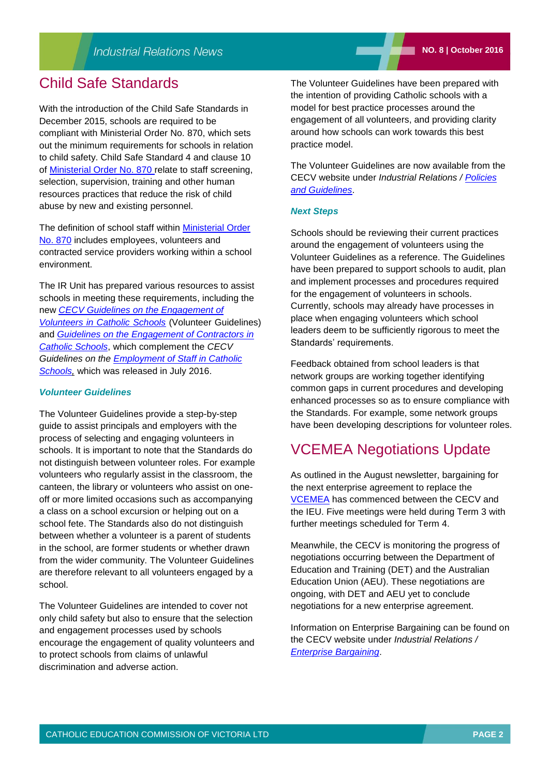### Child Safe Standards

With the introduction of the Child Safe Standards in December 2015, schools are required to be compliant with Ministerial Order No. 870, which sets out the minimum requirements for schools in relation to child safety. Child Safe Standard 4 and clause 10 of [Ministerial Order No. 870](http://www.cecv.catholic.edu.au/Industrial-Relations/Leave/Child-Safe-Standards) relate to staff screening, selection, supervision, training and other human resources practices that reduce the risk of child abuse by new and existing personnel.

The definition of school staff within [Ministerial Order](http://www.cecv.catholic.edu.au/Industrial-Relations/Leave/Child-Safe-Standards)  [No. 870](http://www.cecv.catholic.edu.au/Industrial-Relations/Leave/Child-Safe-Standards) includes employees, volunteers and contracted service providers working within a school environment.

The IR Unit has prepared various resources to assist schools in meeting these requirements, including the new *[CECV Guidelines on the Engagement of](http://www.cecv.catholic.edu.au/Industrial-Relations/Policies-and-Guidelines/Volunteers)  [Volunteers in Catholic Schools](http://www.cecv.catholic.edu.au/Industrial-Relations/Policies-and-Guidelines/Volunteers)* (Volunteer Guidelines) and *[Guidelines on the Engagement of Contractors in](http://www.cecv.catholic.edu.au/Industrial-Relations/Policies-and-Guidelines/Employee-Obligations)  [Catholic Schools](http://www.cecv.catholic.edu.au/Industrial-Relations/Policies-and-Guidelines/Employee-Obligations)*, which complement the *CECV Guidelines on the [Employment of Staff in Catholic](http://www.cecv.catholic.edu.au/getmedia/0393d7fb-2fb9-4e48-a05e-56b703dd62eb/Employment-Guidelines.aspx)  [Schools,](http://www.cecv.catholic.edu.au/getmedia/0393d7fb-2fb9-4e48-a05e-56b703dd62eb/Employment-Guidelines.aspx)* which was released in July 2016.

#### *Volunteer Guidelines*

The Volunteer Guidelines provide a step-by-step guide to assist principals and employers with the process of selecting and engaging volunteers in schools. It is important to note that the Standards do not distinguish between volunteer roles. For example volunteers who regularly assist in the classroom, the canteen, the library or volunteers who assist on oneoff or more limited occasions such as accompanying a class on a school excursion or helping out on a school fete. The Standards also do not distinguish between whether a volunteer is a parent of students in the school, are former students or whether drawn from the wider community. The Volunteer Guidelines are therefore relevant to all volunteers engaged by a school.

The Volunteer Guidelines are intended to cover not only child safety but also to ensure that the selection and engagement processes used by schools encourage the engagement of quality volunteers and to protect schools from claims of unlawful discrimination and adverse action.

The Volunteer Guidelines have been prepared with the intention of providing Catholic schools with a model for best practice processes around the engagement of all volunteers, and providing clarity around how schools can work towards this best practice model.

The Volunteer Guidelines are now available from the CECV website under *Industrial Relations / [Policies](http://www.cecv.catholic.edu.au/Industrial-Relations/Policies-and-Guidelines)  [and Guidelines](http://www.cecv.catholic.edu.au/Industrial-Relations/Policies-and-Guidelines)*.

#### *Next Steps*

Schools should be reviewing their current practices around the engagement of volunteers using the Volunteer Guidelines as a reference. The Guidelines have been prepared to support schools to audit, plan and implement processes and procedures required for the engagement of volunteers in schools. Currently, schools may already have processes in place when engaging volunteers which school leaders deem to be sufficiently rigorous to meet the Standards' requirements.

Feedback obtained from school leaders is that network groups are working together identifying common gaps in current procedures and developing enhanced processes so as to ensure compliance with the Standards. For example, some network groups have been developing descriptions for volunteer roles.

### VCEMEA Negotiations Update

As outlined in the August newsletter, bargaining for the next enterprise agreement to replace the [VCEMEA](http://www2.cecv.catholic.edu.au/getmedia/e728ccbb-dac1-4822-9607-7c5cb8abdae9/VCEMEA_2013.aspx) has commenced between the CECV and the IEU. Five meetings were held during Term 3 with further meetings scheduled for Term 4.

Meanwhile, the CECV is monitoring the progress of negotiations occurring between the Department of Education and Training (DET) and the Australian Education Union (AEU). These negotiations are ongoing, with DET and AEU yet to conclude negotiations for a new enterprise agreement.

Information on Enterprise Bargaining can be found on the CECV website under *Industrial Relations / [Enterprise Bargaining](http://www.cecv.catholic.edu.au/Industrial-Relations/EB)*.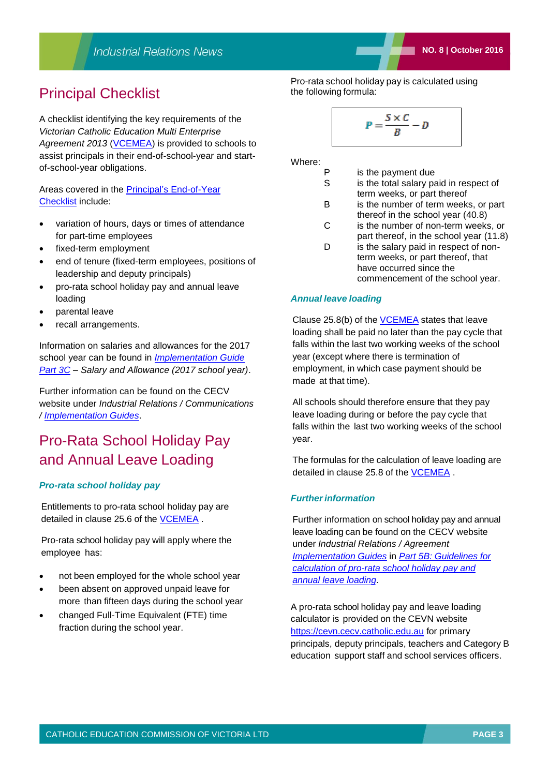### Principal Checklist

A checklist identifying the key requirements of the *Victorian Catholic Education Multi Enterprise*  Agreement 2013 [\(VCEMEA\)](http://www.cecv.catholic.edu.au/getmedia/e728ccbb-dac1-4822-9607-7c5cb8abdae9/VCEMEA_2013.aspx) is provided to schools to assist principals in their end-of-school-year and startof-school-year obligations.

Areas covered in the [Principal's End-of-Year](http://www.cecv.catholic.edu.au/getmedia/054f74f9-0b66-4cc9-8b95-6854ef4694b3/End-of-Year-Checklist-VCEMEA-Implementation-Update.aspx)  [Checklist](http://www.cecv.catholic.edu.au/getmedia/054f74f9-0b66-4cc9-8b95-6854ef4694b3/End-of-Year-Checklist-VCEMEA-Implementation-Update.aspx) include:

- variation of hours, days or times of attendance for part-time employees
- fixed-term employment
- end of tenure (fixed-term employees, positions of leadership and deputy principals)
- pro-rata school holiday pay and annual leave loading
- parental leave
- recall arrangements.

Information on salaries and allowances for the 2017 school year can be found in *[Implementation Guide](http://www.cecv.catholic.edu.au/getmedia/9e5b828e-4f80-4934-b3c2-a27b3c87c47b/Implementation-Guide-Part-3C.aspx)  [Part 3C](http://www.cecv.catholic.edu.au/getmedia/9e5b828e-4f80-4934-b3c2-a27b3c87c47b/Implementation-Guide-Part-3C.aspx) – Salary and Allowance (2017 school year)*.

Further information can be found on the CECV website under *Industrial Relations / Communications / [Implementation Guides](http://www.cecv.catholic.edu.au/Industrial-Relations/Communications/Implementation-Guides)*.

### Pro-Rata School Holiday Pay and Annual Leave Loading

### *Pro-rata school holiday pay*

Entitlements to pro-rata school holiday pay are detailed in clause 25.6 of the [VCEMEA](http://www2.cecv.catholic.edu.au/getmedia/e728ccbb-dac1-4822-9607-7c5cb8abdae9/VCEMEA_2013.aspx) .

Pro-rata school holiday pay will apply where the employee has:

- not been employed for the whole school year
- been absent on approved unpaid leave for more than fifteen days during the school year
- changed Full-Time Equivalent (FTE) time fraction during the school year.

Pro-rata school holiday pay is calculated using the following formula:

$$
P = \frac{S \times C}{B} - D
$$

Where:

- P is the payment due
- S is the total salary paid in respect of
- term weeks, or part thereof B is the number of term weeks, or part
- thereof in the school year (40.8) C is the number of non-term weeks, or
- part thereof, in the school year (11.8)
- D is the salary paid in respect of nonterm weeks, or part thereof, that have occurred since the commencement of the school year.

### *Annual leave loading*

Clause 25.8(b) of the [VCEMEA](http://www2.cecv.catholic.edu.au/getmedia/e728ccbb-dac1-4822-9607-7c5cb8abdae9/VCEMEA_2013.aspx) states that leave loading shall be paid no later than the pay cycle that falls within the last two working weeks of the school year (except where there is termination of employment, in which case payment should be made at that time).

All schools should therefore ensure that they pay leave loading during or before the pay cycle that falls within the last two working weeks of the school year.

The formulas for the calculation of leave loading are detailed in clause 25.8 of the [VCEMEA](http://www2.cecv.catholic.edu.au/getmedia/e728ccbb-dac1-4822-9607-7c5cb8abdae9/VCEMEA_2013.aspx) .

### *Furtherinformation*

Further information on school holiday pay and annual leave loading can be found on the CECV website under *Industrial Relations / Agreement [Implementation](http://www.cecv.catholic.edu.au/Industrial-Relations/Communications/Implementation-Guides) Guides* in *[Part 5B: Guidelines for](http://www2.cecv.catholic.edu.au/getmedia/536d945d-0c9e-46d9-ae0e-c1073cbc55ea/Part-5B.aspx)  [calculation of pro-rata school holiday pay and](http://www2.cecv.catholic.edu.au/getmedia/536d945d-0c9e-46d9-ae0e-c1073cbc55ea/Part-5B.aspx)  [annual leave loading](http://www2.cecv.catholic.edu.au/getmedia/536d945d-0c9e-46d9-ae0e-c1073cbc55ea/Part-5B.aspx)*.

A pro-rata school holiday pay and leave loading calculator is provided on the CEVN website [https://cevn.cecv.catholic.edu.au](https://cevn.cecv.catholic.edu.au/) for primary principals, deputy principals, teachers and Category B education support staff and school services officers.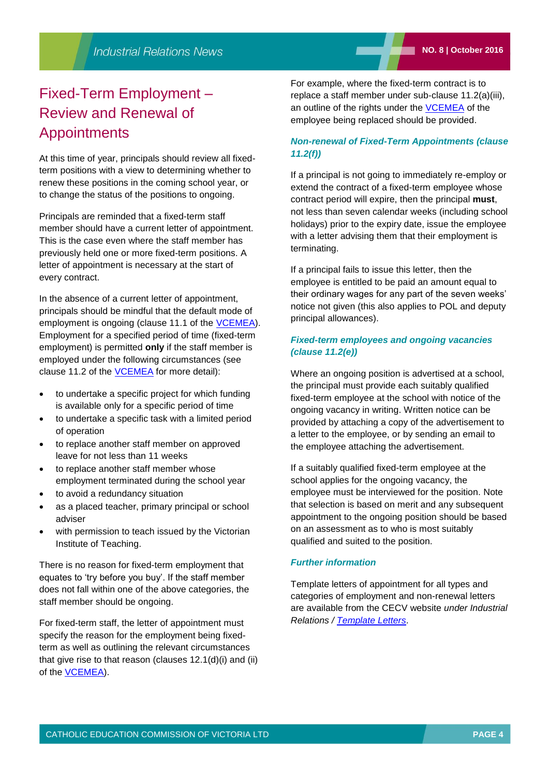### Fixed-Term Employment – Review and Renewal of Appointments

At this time of year, principals should review all fixedterm positions with a view to determining whether to renew these positions in the coming school year, or to change the status of the positions to ongoing.

Principals are reminded that a fixed-term staff member should have a current letter of appointment. This is the case even where the staff member has previously held one or more fixed-term positions. A letter of appointment is necessary at the start of every contract.

In the absence of a current letter of appointment, principals should be mindful that the default mode of employment is ongoing (clause 11.1 of the [VCEMEA\)](http://www2.cecv.catholic.edu.au/getmedia/e728ccbb-dac1-4822-9607-7c5cb8abdae9/VCEMEA_2013.aspx). Employment for a specified period of time (fixed-term employment) is permitted **only** if the staff member is employed under the following circumstances (see clause 11.2 of the [VCEMEA](http://www2.cecv.catholic.edu.au/getmedia/e728ccbb-dac1-4822-9607-7c5cb8abdae9/VCEMEA_2013.aspx) for more detail):

- to undertake a specific project for which funding is available only for a specific period of time
- to undertake a specific task with a limited period of operation
- to replace another staff member on approved leave for not less than 11 weeks
- to replace another staff member whose employment terminated during the school year
- to avoid a redundancy situation
- as a placed teacher, primary principal or school adviser
- with permission to teach issued by the Victorian Institute of Teaching.

There is no reason for fixed-term employment that equates to 'try before you buy'. If the staff member does not fall within one of the above categories, the staff member should be ongoing.

For fixed-term staff, the letter of appointment must specify the reason for the employment being fixedterm as well as outlining the relevant circumstances that give rise to that reason (clauses 12.1(d)(i) and (ii) of the [VCEMEA\)](http://www2.cecv.catholic.edu.au/getmedia/e728ccbb-dac1-4822-9607-7c5cb8abdae9/VCEMEA_2013.aspx).

For example, where the fixed-term contract is to replace a staff member under sub‐clause 11.2(a)(iii), an outline of the rights under the [VCEMEA](http://www2.cecv.catholic.edu.au/getmedia/e728ccbb-dac1-4822-9607-7c5cb8abdae9/VCEMEA_2013.aspx) of the employee being replaced should be provided.

### *Non-renewal of Fixed-Term Appointments (clause 11.2(f))*

If a principal is not going to immediately re-employ or extend the contract of a fixed-term employee whose contract period will expire, then the principal **must**, not less than seven calendar weeks (including school holidays) prior to the expiry date, issue the employee with a letter advising them that their employment is terminating.

If a principal fails to issue this letter, then the employee is entitled to be paid an amount equal to their ordinary wages for any part of the seven weeks' notice not given (this also applies to POL and deputy principal allowances).

### *Fixed-term employees and ongoing vacancies (clause 11.2(e))*

Where an ongoing position is advertised at a school, the principal must provide each suitably qualified fixed-term employee at the school with notice of the ongoing vacancy in writing. Written notice can be provided by attaching a copy of the advertisement to a letter to the employee, or by sending an email to the employee attaching the advertisement.

If a suitably qualified fixed-term employee at the school applies for the ongoing vacancy, the employee must be interviewed for the position. Note that selection is based on merit and any subsequent appointment to the ongoing position should be based on an assessment as to who is most suitably qualified and suited to the position.

#### *Further information*

Template letters of appointment for all types and categories of employment and non-renewal letters are available from the CECV website *under Industrial Relations / [Template Letters](http://www.cecv.catholic.edu.au/Industrial-Relations/Template-Letters)*.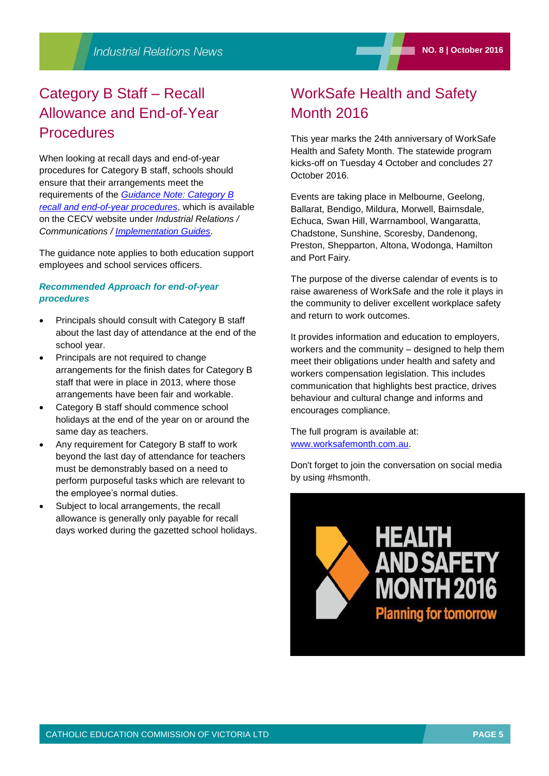## Category B Staff – Recall Allowance and End-of-Year **Procedures**

When looking at recall days and end-of-year procedures for Category B staff, schools should ensure that their arrangements meet the requirements of the *[Guidance Note: Category B](http://www.cecv.catholic.edu.au/getmedia/5fcb75db-7921-4642-a674-d886a8860d0d/Guidance-Note-Category-B-Recall-End-of-Year-Procedures.aspx)  [recall and end-of-year procedures](http://www.cecv.catholic.edu.au/getmedia/5fcb75db-7921-4642-a674-d886a8860d0d/Guidance-Note-Category-B-Recall-End-of-Year-Procedures.aspx)*, which is available on the CECV website under *Industrial Relations / Communications / [Implementation Guides](http://www.cecv.catholic.edu.au/Industrial-Relations/Communications/Implementation-Guides)*.

The guidance note applies to both education support employees and school services officers.

### *Recommended Approach for end-of-year procedures*

- Principals should consult with Category B staff about the last day of attendance at the end of the school year.
- Principals are not required to change arrangements for the finish dates for Category B staff that were in place in 2013, where those arrangements have been fair and workable.
- Category B staff should commence school holidays at the end of the year on or around the same day as teachers.
- Any requirement for Category B staff to work beyond the last day of attendance for teachers must be demonstrably based on a need to perform purposeful tasks which are relevant to the employee's normal duties.
- Subject to local arrangements, the recall allowance is generally only payable for recall days worked during the gazetted school holidays.

### WorkSafe Health and Safety Month 2016

This year marks the 24th anniversary of WorkSafe Health and Safety Month. The statewide program kicks-off on Tuesday 4 October and concludes 27 October 2016.

Events are taking place in Melbourne, Geelong, Ballarat, Bendigo, Mildura, Morwell, Bairnsdale, Echuca, Swan Hill, Warrnambool, Wangaratta, Chadstone, Sunshine, Scoresby, Dandenong, Preston, Shepparton, Altona, Wodonga, Hamilton and Port Fairy.

The purpose of the diverse calendar of events is to raise awareness of WorkSafe and the role it plays in the community to deliver excellent workplace safety and return to work outcomes.

It provides information and education to employers, workers and the community – designed to help them meet their obligations under health and safety and workers compensation legislation. This includes communication that highlights best practice, drives behaviour and cultural change and informs and encourages compliance.

The full program is available at: [www.worksafemonth.com.au.](http://www.worksafemonth.com.au/)

Don't forget to join the conversation on social media by using #hsmonth.

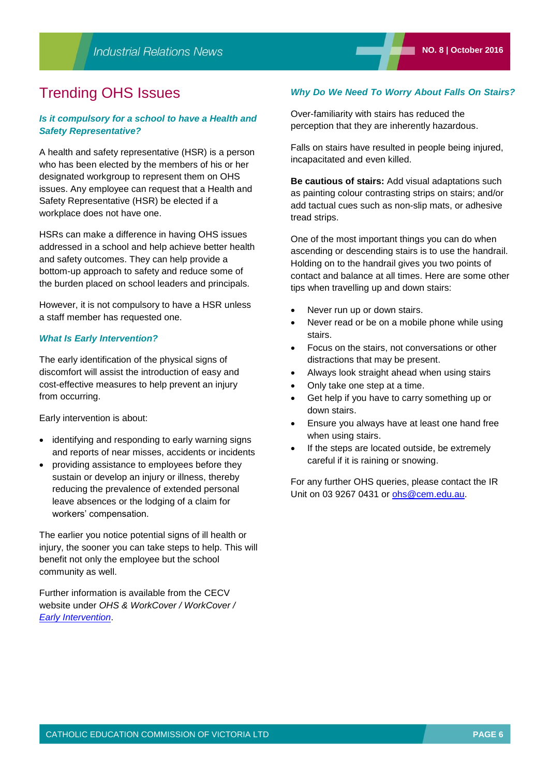### Trending OHS Issues

### *Is it compulsory for a school to have a Health and Safety Representative?*

A health and safety representative (HSR) is a person who has been elected by the members of his or her designated workgroup to represent them on OHS issues. Any employee can request that a Health and Safety Representative (HSR) be elected if a workplace does not have one.

HSRs can make a difference in having OHS issues addressed in a school and help achieve better health and safety outcomes. They can help provide a bottom-up approach to safety and reduce some of the burden placed on school leaders and principals.

However, it is not compulsory to have a HSR unless a staff member has requested one.

#### *What Is Early Intervention?*

The early identification of the physical signs of discomfort will assist the introduction of easy and cost-effective measures to help prevent an injury from occurring.

Early intervention is about:

- identifying and responding to early warning signs and reports of near misses, accidents or incidents
- providing assistance to employees before they sustain or develop an injury or illness, thereby reducing the prevalence of extended personal leave absences or the lodging of a claim for workers' compensation.

The earlier you notice potential signs of ill health or injury, the sooner you can take steps to help. This will benefit not only the employee but the school community as well.

Further information is available from the CECV website under *OHS & WorkCover / WorkCover / [Early Intervention](http://www.cecv.catholic.edu.au/OHS-WorkCover/WorkCover/Early-Intervention)*.

### *Why Do We Need To Worry About Falls On Stairs?*

Over-familiarity with stairs has reduced the perception that they are inherently hazardous.

Falls on stairs have resulted in people being injured, incapacitated and even killed.

**Be cautious of stairs:** Add visual adaptations such as painting colour contrasting strips on stairs; and/or add tactual cues such as non-slip mats, or adhesive tread strips.

One of the most important things you can do when ascending or descending stairs is to use the handrail. Holding on to the handrail gives you two points of contact and balance at all times. Here are some other tips when travelling up and down stairs:

- Never run up or down stairs.
- Never read or be on a mobile phone while using stairs.
- Focus on the stairs, not conversations or other distractions that may be present.
- Always look straight ahead when using stairs
- Only take one step at a time.
- Get help if you have to carry something up or down stairs.
- Ensure you always have at least one hand free when using stairs.
- If the steps are located outside, be extremely careful if it is raining or snowing.

For any further OHS queries, please contact the IR Unit on 03 9267 0431 or [ohs@cem.edu.au.](mailto:ohs@cem.edu.au)